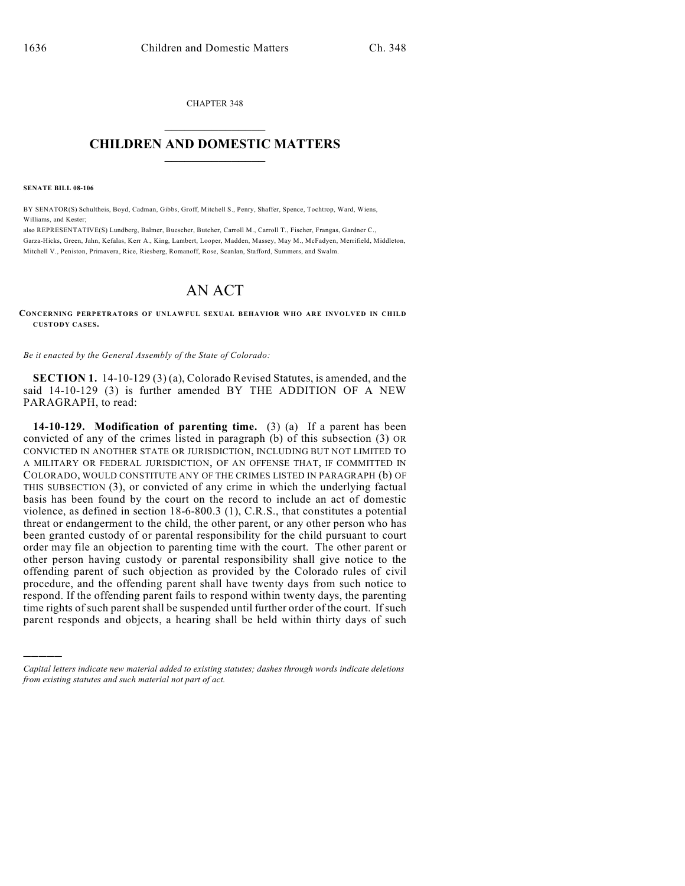CHAPTER 348  $\overline{\phantom{a}}$  . The set of the set of the set of the set of the set of the set of the set of the set of the set of the set of the set of the set of the set of the set of the set of the set of the set of the set of the set o

## **CHILDREN AND DOMESTIC MATTERS**  $\_$

**SENATE BILL 08-106**

)))))

BY SENATOR(S) Schultheis, Boyd, Cadman, Gibbs, Groff, Mitchell S., Penry, Shaffer, Spence, Tochtrop, Ward, Wiens, Williams, and Kester;

also REPRESENTATIVE(S) Lundberg, Balmer, Buescher, Butcher, Carroll M., Carroll T., Fischer, Frangas, Gardner C., Garza-Hicks, Green, Jahn, Kefalas, Kerr A., King, Lambert, Looper, Madden, Massey, May M., McFadyen, Merrifield, Middleton, Mitchell V., Peniston, Primavera, Rice, Riesberg, Romanoff, Rose, Scanlan, Stafford, Summers, and Swalm.

## AN ACT

**CONCERNING PERPETRATORS OF UNLAWFUL SEXUAL BEHAVIOR WHO ARE INVOLVED IN CHILD CUSTODY CASES.**

*Be it enacted by the General Assembly of the State of Colorado:*

**SECTION 1.** 14-10-129 (3) (a), Colorado Revised Statutes, is amended, and the said 14-10-129 (3) is further amended BY THE ADDITION OF A NEW PARAGRAPH, to read:

**14-10-129. Modification of parenting time.** (3) (a) If a parent has been convicted of any of the crimes listed in paragraph (b) of this subsection (3) OR CONVICTED IN ANOTHER STATE OR JURISDICTION, INCLUDING BUT NOT LIMITED TO A MILITARY OR FEDERAL JURISDICTION, OF AN OFFENSE THAT, IF COMMITTED IN COLORADO, WOULD CONSTITUTE ANY OF THE CRIMES LISTED IN PARAGRAPH (b) OF THIS SUBSECTION (3), or convicted of any crime in which the underlying factual basis has been found by the court on the record to include an act of domestic violence, as defined in section 18-6-800.3 (1), C.R.S., that constitutes a potential threat or endangerment to the child, the other parent, or any other person who has been granted custody of or parental responsibility for the child pursuant to court order may file an objection to parenting time with the court. The other parent or other person having custody or parental responsibility shall give notice to the offending parent of such objection as provided by the Colorado rules of civil procedure, and the offending parent shall have twenty days from such notice to respond. If the offending parent fails to respond within twenty days, the parenting time rights of such parent shall be suspended until further order of the court. If such parent responds and objects, a hearing shall be held within thirty days of such

*Capital letters indicate new material added to existing statutes; dashes through words indicate deletions from existing statutes and such material not part of act.*